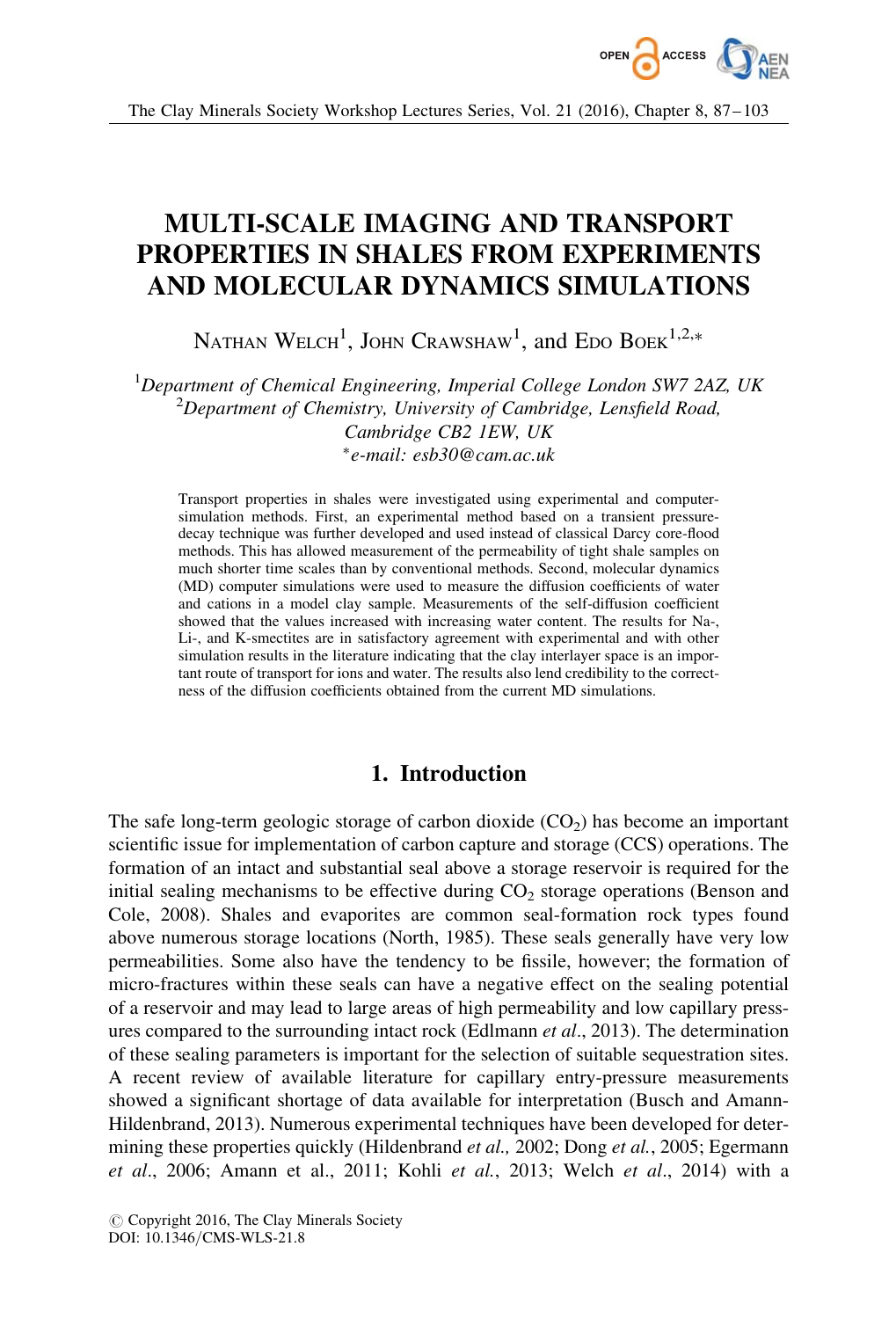

# MULTI-SCALE IMAGING AND TRANSPORT PROPERTIES IN SHALES FROM EXPERIMENTS AND MOLECULAR DYNAMICS SIMULATIONS

NATHAN  $\text{WELCH}^{1}$ , JOHN  $\text{Crawshaw}^{1}$ , and Edo Boek<sup>1,2,\*</sup>

 ${}^{1}$ Department of Chemical Engineering, Imperial College London SW7 2AZ, UK  $^{2}$ Department of Chemistry, University of Cambridge, Lensfield Road, Cambridge CB2 1EW, UK -e-mail: esb30@cam.ac.uk

Transport properties in shales were investigated using experimental and computersimulation methods. First, an experimental method based on a transient pressuredecay technique was further developed and used instead of classical Darcy core-flood methods. This has allowed measurement of the permeability of tight shale samples on much shorter time scales than by conventional methods. Second, molecular dynamics (MD) computer simulations were used to measure the diffusion coefficients of water and cations in a model clay sample. Measurements of the self-diffusion coefficient showed that the values increased with increasing water content. The results for Na-, Li-, and K-smectites are in satisfactory agreement with experimental and with other simulation results in the literature indicating that the clay interlayer space is an important route of transport for ions and water. The results also lend credibility to the correctness of the diffusion coefficients obtained from the current MD simulations.

## 1. Introduction

The safe long-term geologic storage of carbon dioxide  $(CO<sub>2</sub>)$  has become an important scientific issue for implementation of carbon capture and storage (CCS) operations. The formation of an intact and substantial seal above a storage reservoir is required for the initial sealing mechanisms to be effective during  $CO<sub>2</sub>$  storage operations (Benson and Cole, 2008). Shales and evaporites are common seal-formation rock types found above numerous storage locations (North, 1985). These seals generally have very low permeabilities. Some also have the tendency to be fissile, however; the formation of micro-fractures within these seals can have a negative effect on the sealing potential of a reservoir and may lead to large areas of high permeability and low capillary pressures compared to the surrounding intact rock (Edlmann *et al.*, 2013). The determination of these sealing parameters is important for the selection of suitable sequestration sites. A recent review of available literature for capillary entry-pressure measurements showed a significant shortage of data available for interpretation (Busch and Amann-Hildenbrand, 2013). Numerous experimental techniques have been developed for determining these properties quickly (Hildenbrand *et al.*, 2002; Dong *et al.*, 2005; Egermann et al., 2006; Amann et al., 2011; Kohli et al., 2013; Welch et al., 2014) with a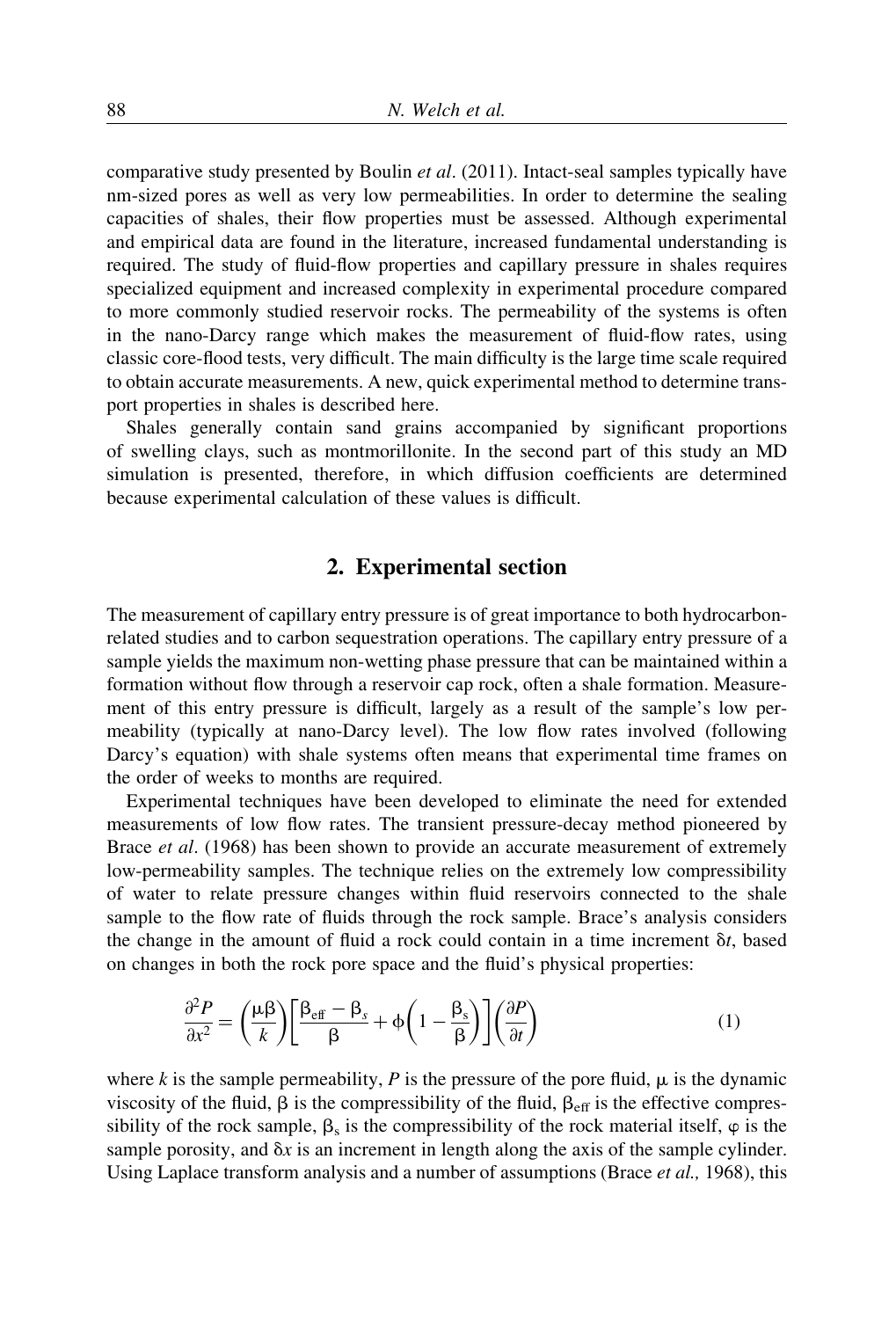comparative study presented by Boulin et al. (2011). Intact-seal samples typically have nm-sized pores as well as very low permeabilities. In order to determine the sealing capacities of shales, their flow properties must be assessed. Although experimental and empirical data are found in the literature, increased fundamental understanding is required. The study of fluid-flow properties and capillary pressure in shales requires specialized equipment and increased complexity in experimental procedure compared to more commonly studied reservoir rocks. The permeability of the systems is often in the nano-Darcy range which makes the measurement of fluid-flow rates, using classic core-flood tests, very difficult. The main difficulty is the large time scale required to obtain accurate measurements. A new, quick experimental method to determine transport properties in shales is described here.

Shales generally contain sand grains accompanied by significant proportions of swelling clays, such as montmorillonite. In the second part of this study an MD simulation is presented, therefore, in which diffusion coefficients are determined because experimental calculation of these values is difficult.

## 2. Experimental section

The measurement of capillary entry pressure is of great importance to both hydrocarbonrelated studies and to carbon sequestration operations. The capillary entry pressure of a sample yields the maximum non-wetting phase pressure that can be maintained within a formation without flow through a reservoir cap rock, often a shale formation. Measurement of this entry pressure is difficult, largely as a result of the sample's low permeability (typically at nano-Darcy level). The low flow rates involved (following Darcy's equation) with shale systems often means that experimental time frames on the order of weeks to months are required.

Experimental techniques have been developed to eliminate the need for extended measurements of low flow rates. The transient pressure-decay method pioneered by Brace et al. (1968) has been shown to provide an accurate measurement of extremely low-permeability samples. The technique relies on the extremely low compressibility of water to relate pressure changes within fluid reservoirs connected to the shale sample to the flow rate of fluids through the rock sample. Brace's analysis considers the change in the amount of fluid a rock could contain in a time increment  $\delta t$ , based on changes in both the rock pore space and the fluid's physical properties:

$$
\frac{\partial^2 P}{\partial x^2} = \left(\frac{\mu \beta}{k}\right) \left[\frac{\beta_{\text{eff}} - \beta_s}{\beta} + \phi \left(1 - \frac{\beta_s}{\beta}\right)\right] \left(\frac{\partial P}{\partial t}\right) \tag{1}
$$

where k is the sample permeability, P is the pressure of the pore fluid,  $\mu$  is the dynamic viscosity of the fluid,  $\beta$  is the compressibility of the fluid,  $\beta_{\text{eff}}$  is the effective compressibility of the rock sample,  $\beta_s$  is the compressibility of the rock material itself,  $\varphi$  is the sample porosity, and  $\delta x$  is an increment in length along the axis of the sample cylinder. Using Laplace transform analysis and a number of assumptions (Brace *et al.*, 1968), this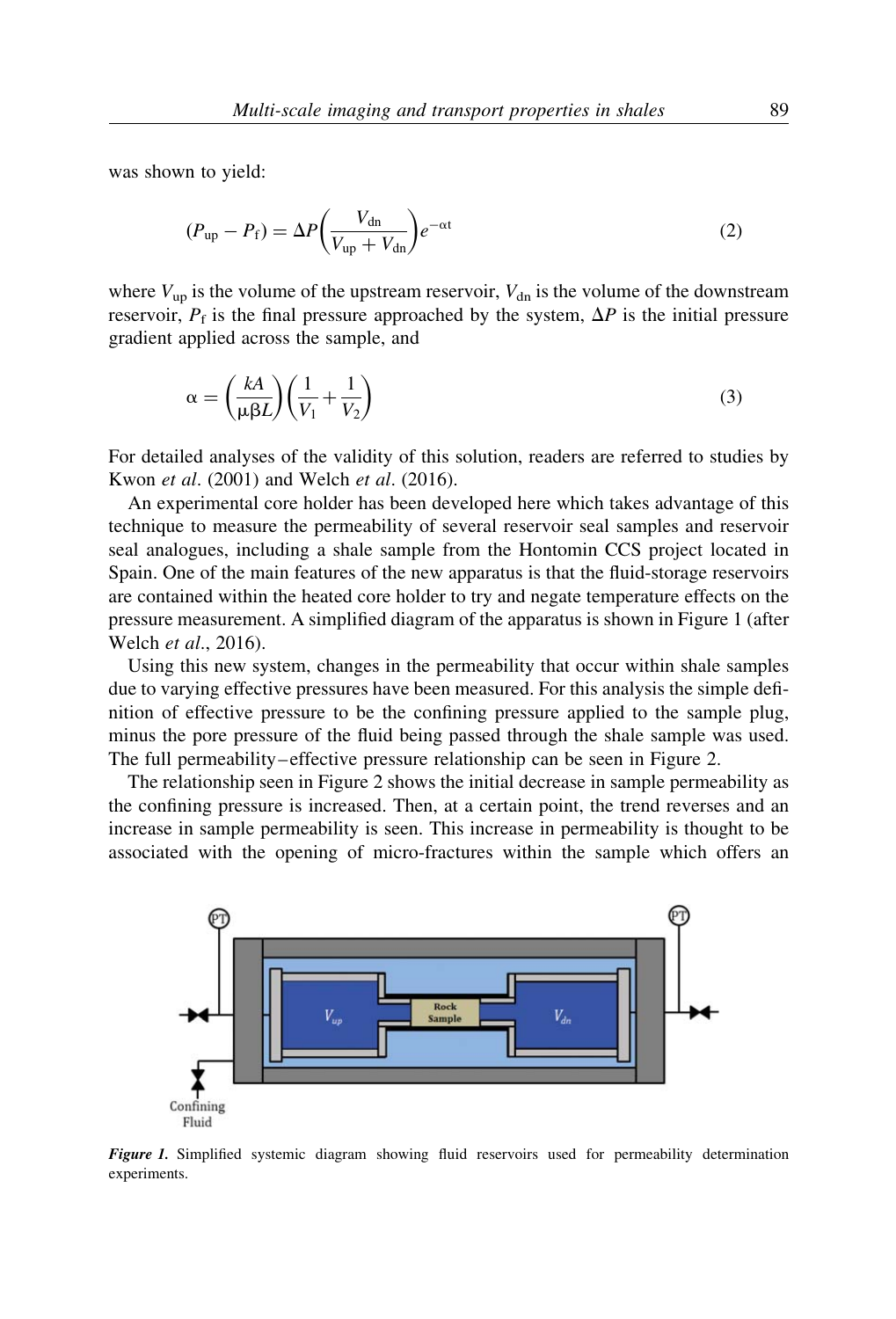was shown to yield:

$$
(P_{\rm up} - P_{\rm f}) = \Delta P \left(\frac{V_{\rm dn}}{V_{\rm up} + V_{\rm dn}}\right) e^{-\alpha t}
$$
\n(2)

where  $V_{\text{up}}$  is the volume of the upstream reservoir,  $V_{\text{dn}}$  is the volume of the downstream reservoir,  $P_f$  is the final pressure approached by the system,  $\Delta P$  is the initial pressure gradient applied across the sample, and

$$
\alpha = \left(\frac{kA}{\mu\beta L}\right)\left(\frac{1}{V_1} + \frac{1}{V_2}\right) \tag{3}
$$

For detailed analyses of the validity of this solution, readers are referred to studies by Kwon et al. (2001) and Welch et al. (2016).

An experimental core holder has been developed here which takes advantage of this technique to measure the permeability of several reservoir seal samples and reservoir seal analogues, including a shale sample from the Hontomin CCS project located in Spain. One of the main features of the new apparatus is that the fluid-storage reservoirs are contained within the heated core holder to try and negate temperature effects on the pressure measurement. A simplified diagram of the apparatus is shown in Figure 1 (after Welch et al., 2016).

Using this new system, changes in the permeability that occur within shale samples due to varying effective pressures have been measured. For this analysis the simple definition of effective pressure to be the confining pressure applied to the sample plug, minus the pore pressure of the fluid being passed through the shale sample was used. The full permeability–effective pressure relationship can be seen in Figure 2.

The relationship seen in Figure 2 shows the initial decrease in sample permeability as the confining pressure is increased. Then, at a certain point, the trend reverses and an increase in sample permeability is seen. This increase in permeability is thought to be associated with the opening of micro-fractures within the sample which offers an



Figure 1. Simplified systemic diagram showing fluid reservoirs used for permeability determination experiments.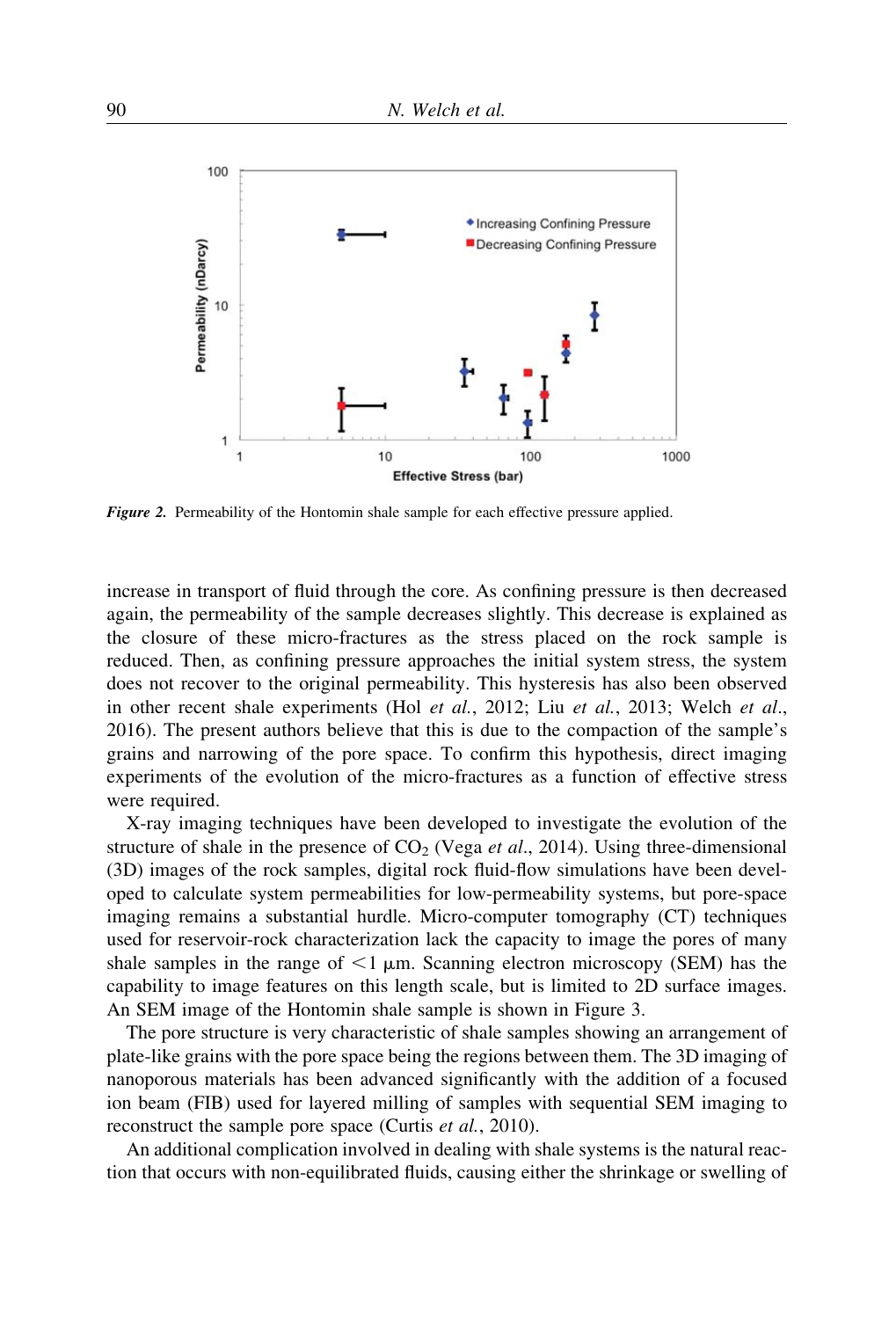

Figure 2. Permeability of the Hontomin shale sample for each effective pressure applied.

increase in transport of fluid through the core. As confining pressure is then decreased again, the permeability of the sample decreases slightly. This decrease is explained as the closure of these micro-fractures as the stress placed on the rock sample is reduced. Then, as confining pressure approaches the initial system stress, the system does not recover to the original permeability. This hysteresis has also been observed in other recent shale experiments (Hol et al., 2012; Liu et al., 2013; Welch et al., 2016). The present authors believe that this is due to the compaction of the sample's grains and narrowing of the pore space. To confirm this hypothesis, direct imaging experiments of the evolution of the micro-fractures as a function of effective stress were required.

X-ray imaging techniques have been developed to investigate the evolution of the structure of shale in the presence of  $CO<sub>2</sub>$  (Vega *et al.*, 2014). Using three-dimensional (3D) images of the rock samples, digital rock fluid-flow simulations have been developed to calculate system permeabilities for low-permeability systems, but pore-space imaging remains a substantial hurdle. Micro-computer tomography (CT) techniques used for reservoir-rock characterization lack the capacity to image the pores of many shale samples in the range of  $\leq 1 \mu$ m. Scanning electron microscopy (SEM) has the capability to image features on this length scale, but is limited to 2D surface images. An SEM image of the Hontomin shale sample is shown in Figure 3.

The pore structure is very characteristic of shale samples showing an arrangement of plate-like grains with the pore space being the regions between them. The 3D imaging of nanoporous materials has been advanced significantly with the addition of a focused ion beam (FIB) used for layered milling of samples with sequential SEM imaging to reconstruct the sample pore space (Curtis et al., 2010).

An additional complication involved in dealing with shale systems is the natural reaction that occurs with non-equilibrated fluids, causing either the shrinkage or swelling of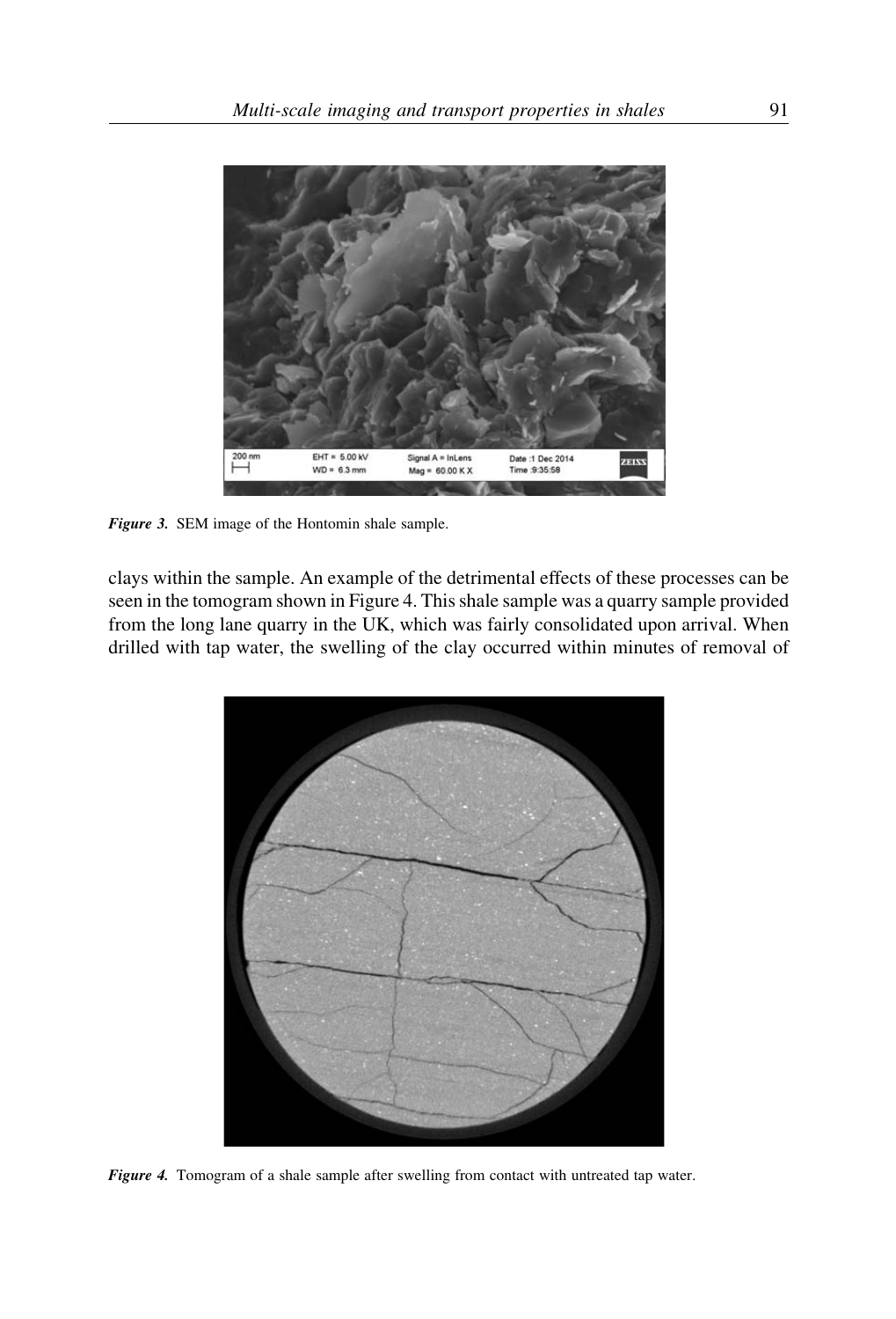

Figure 3. SEM image of the Hontomin shale sample.

clays within the sample. An example of the detrimental effects of these processes can be seen in the tomogram shown in Figure 4. This shale sample was a quarry sample provided from the long lane quarry in the UK, which was fairly consolidated upon arrival. When drilled with tap water, the swelling of the clay occurred within minutes of removal of



Figure 4. Tomogram of a shale sample after swelling from contact with untreated tap water.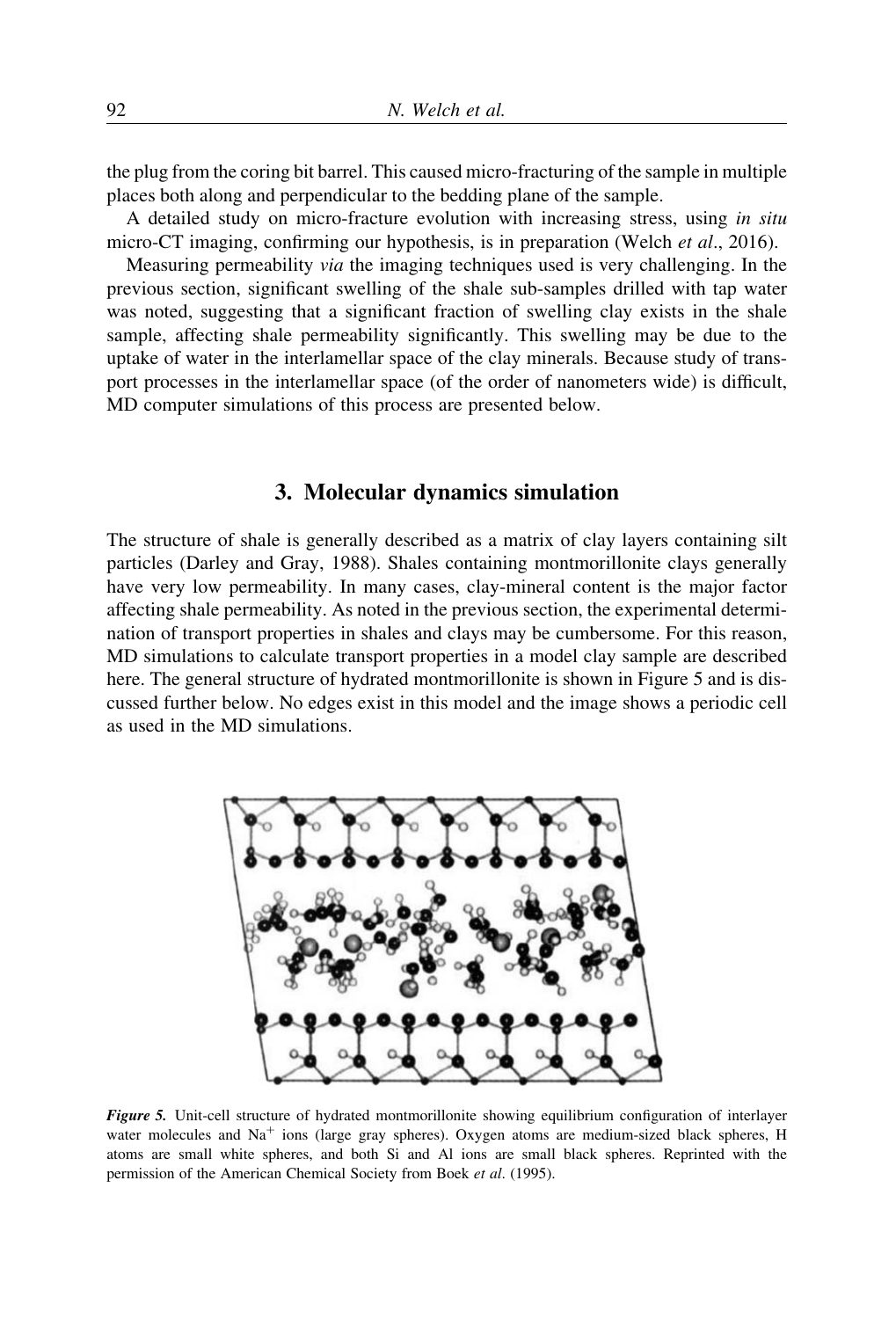the plug from the coring bit barrel. This caused micro-fracturing of the sample in multiple places both along and perpendicular to the bedding plane of the sample.

A detailed study on micro-fracture evolution with increasing stress, using in situ micro-CT imaging, confirming our hypothesis, is in preparation (Welch *et al.*, 2016).

Measuring permeability via the imaging techniques used is very challenging. In the previous section, significant swelling of the shale sub-samples drilled with tap water was noted, suggesting that a significant fraction of swelling clay exists in the shale sample, affecting shale permeability significantly. This swelling may be due to the uptake of water in the interlamellar space of the clay minerals. Because study of transport processes in the interlamellar space (of the order of nanometers wide) is difficult, MD computer simulations of this process are presented below.

## 3. Molecular dynamics simulation

The structure of shale is generally described as a matrix of clay layers containing silt particles (Darley and Gray, 1988). Shales containing montmorillonite clays generally have very low permeability. In many cases, clay-mineral content is the major factor affecting shale permeability. As noted in the previous section, the experimental determination of transport properties in shales and clays may be cumbersome. For this reason, MD simulations to calculate transport properties in a model clay sample are described here. The general structure of hydrated montmorillonite is shown in Figure 5 and is discussed further below. No edges exist in this model and the image shows a periodic cell as used in the MD simulations.



Figure 5. Unit-cell structure of hydrated montmorillonite showing equilibrium configuration of interlayer water molecules and  $Na<sup>+</sup>$  ions (large gray spheres). Oxygen atoms are medium-sized black spheres, H atoms are small white spheres, and both Si and Al ions are small black spheres. Reprinted with the permission of the American Chemical Society from Boek et al. (1995).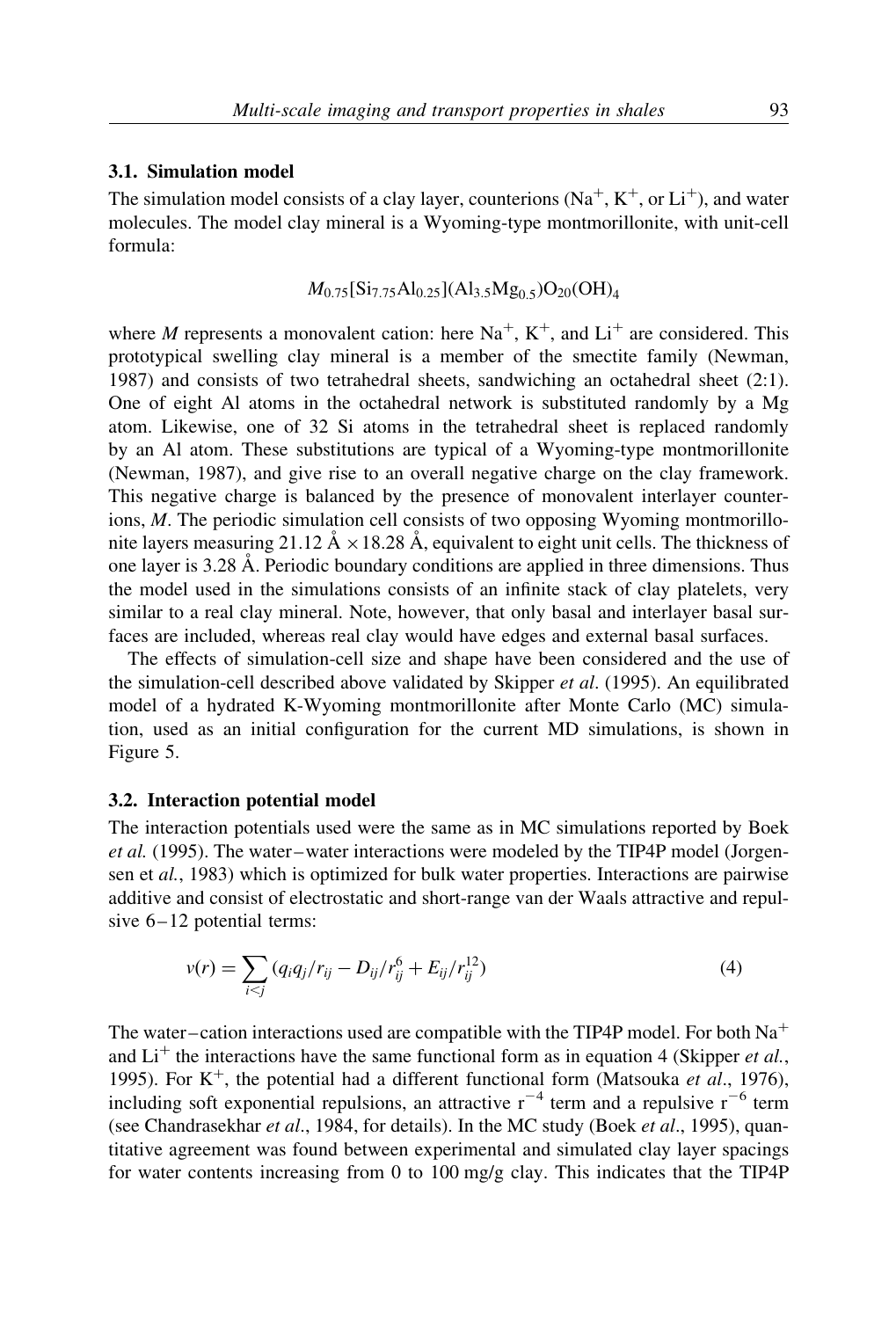#### 3.1. Simulation model

The simulation model consists of a clay layer, counterions  $(Na^+, K^+, or Li^+)$ , and water molecules. The model clay mineral is a Wyoming-type montmorillonite, with unit-cell formula:

$$
M_{0.75}[Si_{7.75}Al_{0.25}](Al_{3.5}Mg_{0.5})O_{20}(OH)_{4}
$$

where M represents a monovalent cation: here  $\mathrm{Na}^+$ ,  $\mathrm{K}^+$ , and  $\mathrm{Li}^+$  are considered. This prototypical swelling clay mineral is a member of the smectite family (Newman, 1987) and consists of two tetrahedral sheets, sandwiching an octahedral sheet (2:1). One of eight Al atoms in the octahedral network is substituted randomly by a Mg atom. Likewise, one of 32 Si atoms in the tetrahedral sheet is replaced randomly by an Al atom. These substitutions are typical of a Wyoming-type montmorillonite (Newman, 1987), and give rise to an overall negative charge on the clay framework. This negative charge is balanced by the presence of monovalent interlayer counterions, M. The periodic simulation cell consists of two opposing Wyoming montmorillonite layers measuring 21.12  $\AA \times 18.28 \AA$ , equivalent to eight unit cells. The thickness of one layer is 3.28 A˚ . Periodic boundary conditions are applied in three dimensions. Thus the model used in the simulations consists of an infinite stack of clay platelets, very similar to a real clay mineral. Note, however, that only basal and interlayer basal surfaces are included, whereas real clay would have edges and external basal surfaces.

The effects of simulation-cell size and shape have been considered and the use of the simulation-cell described above validated by Skipper et al. (1995). An equilibrated model of a hydrated K-Wyoming montmorillonite after Monte Carlo (MC) simulation, used as an initial configuration for the current MD simulations, is shown in Figure 5.

#### 3.2. Interaction potential model

The interaction potentials used were the same as in MC simulations reported by Boek et al. (1995). The water –water interactions were modeled by the TIP4P model (Jorgensen et al., 1983) which is optimized for bulk water properties. Interactions are pairwise additive and consist of electrostatic and short-range van der Waals attractive and repulsive  $6 - 12$  potential terms:

$$
v(r) = \sum_{i < j} \left( q_i q_j / r_{ij} - D_{ij} / r_{ij}^6 + E_{ij} / r_{ij}^{12} \right) \tag{4}
$$

The water-cation interactions used are compatible with the TIP4P model. For both  $Na<sup>+</sup>$ and  $Li<sup>+</sup>$  the interactions have the same functional form as in equation 4 (Skipper *et al.*, 1995). For  $K^+$ , the potential had a different functional form (Matsouka *et al.*, 1976), including soft exponential repulsions, an attractive  $r^{-4}$  term and a repulsive  $r^{-6}$  term (see Chandrasekhar et al., 1984, for details). In the MC study (Boek et al., 1995), quantitative agreement was found between experimental and simulated clay layer spacings for water contents increasing from 0 to 100 mg/g clay. This indicates that the TIP4P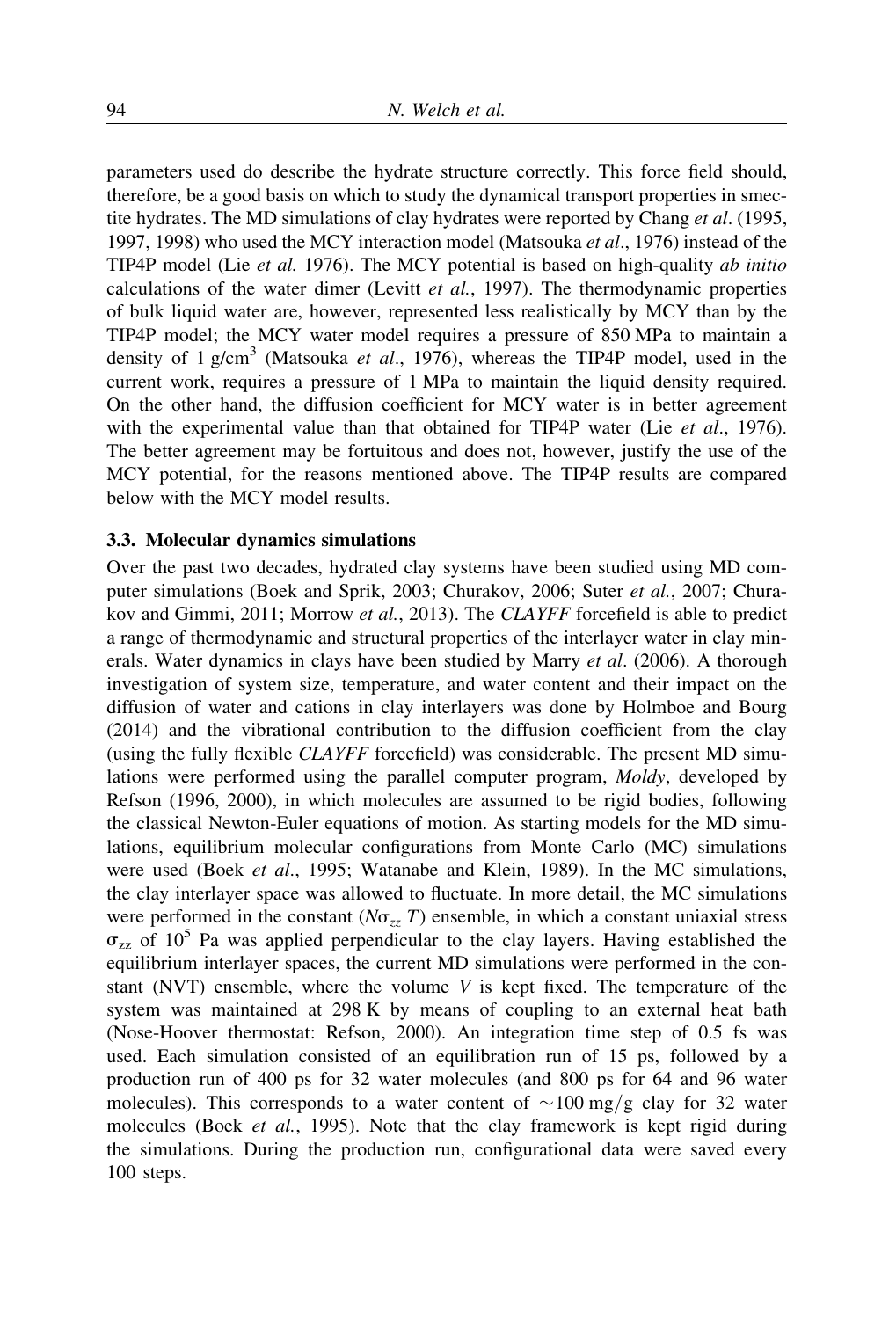parameters used do describe the hydrate structure correctly. This force field should, therefore, be a good basis on which to study the dynamical transport properties in smectite hydrates. The MD simulations of clay hydrates were reported by Chang *et al.* (1995, 1997, 1998) who used the MCY interaction model (Matsouka et al., 1976) instead of the TIP4P model (Lie et al. 1976). The MCY potential is based on high-quality ab initio calculations of the water dimer (Levitt et al., 1997). The thermodynamic properties of bulk liquid water are, however, represented less realistically by MCY than by the TIP4P model; the MCY water model requires a pressure of 850 MPa to maintain a density of  $1 \text{ g/cm}^3$  (Matsouka *et al.*, 1976), whereas the TIP4P model, used in the current work, requires a pressure of 1 MPa to maintain the liquid density required. On the other hand, the diffusion coefficient for MCY water is in better agreement with the experimental value than that obtained for TIP4P water (Lie *et al.*, 1976). The better agreement may be fortuitous and does not, however, justify the use of the MCY potential, for the reasons mentioned above. The TIP4P results are compared below with the MCY model results.

#### 3.3. Molecular dynamics simulations

Over the past two decades, hydrated clay systems have been studied using MD computer simulations (Boek and Sprik, 2003; Churakov, 2006; Suter et al., 2007; Churakov and Gimmi, 2011; Morrow et al., 2013). The CLAYFF forcefield is able to predict a range of thermodynamic and structural properties of the interlayer water in clay minerals. Water dynamics in clays have been studied by Marry et al. (2006). A thorough investigation of system size, temperature, and water content and their impact on the diffusion of water and cations in clay interlayers was done by Holmboe and Bourg (2014) and the vibrational contribution to the diffusion coefficient from the clay (using the fully flexible CLAYFF forcefield) was considerable. The present MD simulations were performed using the parallel computer program, Moldy, developed by Refson (1996, 2000), in which molecules are assumed to be rigid bodies, following the classical Newton-Euler equations of motion. As starting models for the MD simulations, equilibrium molecular configurations from Monte Carlo (MC) simulations were used (Boek et al., 1995; Watanabe and Klein, 1989). In the MC simulations, the clay interlayer space was allowed to fluctuate. In more detail, the MC simulations were performed in the constant ( $N\sigma_{zz} T$ ) ensemble, in which a constant uniaxial stress  $\sigma_{zz}$  of 10<sup>5</sup> Pa was applied perpendicular to the clay layers. Having established the equilibrium interlayer spaces, the current MD simulations were performed in the constant (NVT) ensemble, where the volume  $V$  is kept fixed. The temperature of the system was maintained at 298 K by means of coupling to an external heat bath (Nose-Hoover thermostat: Refson, 2000). An integration time step of 0.5 fs was used. Each simulation consisted of an equilibration run of 15 ps, followed by a production run of 400 ps for 32 water molecules (and 800 ps for 64 and 96 water molecules). This corresponds to a water content of  $\sim$  100 mg/g clay for 32 water molecules (Boek *et al.*, 1995). Note that the clay framework is kept rigid during the simulations. During the production run, configurational data were saved every 100 steps.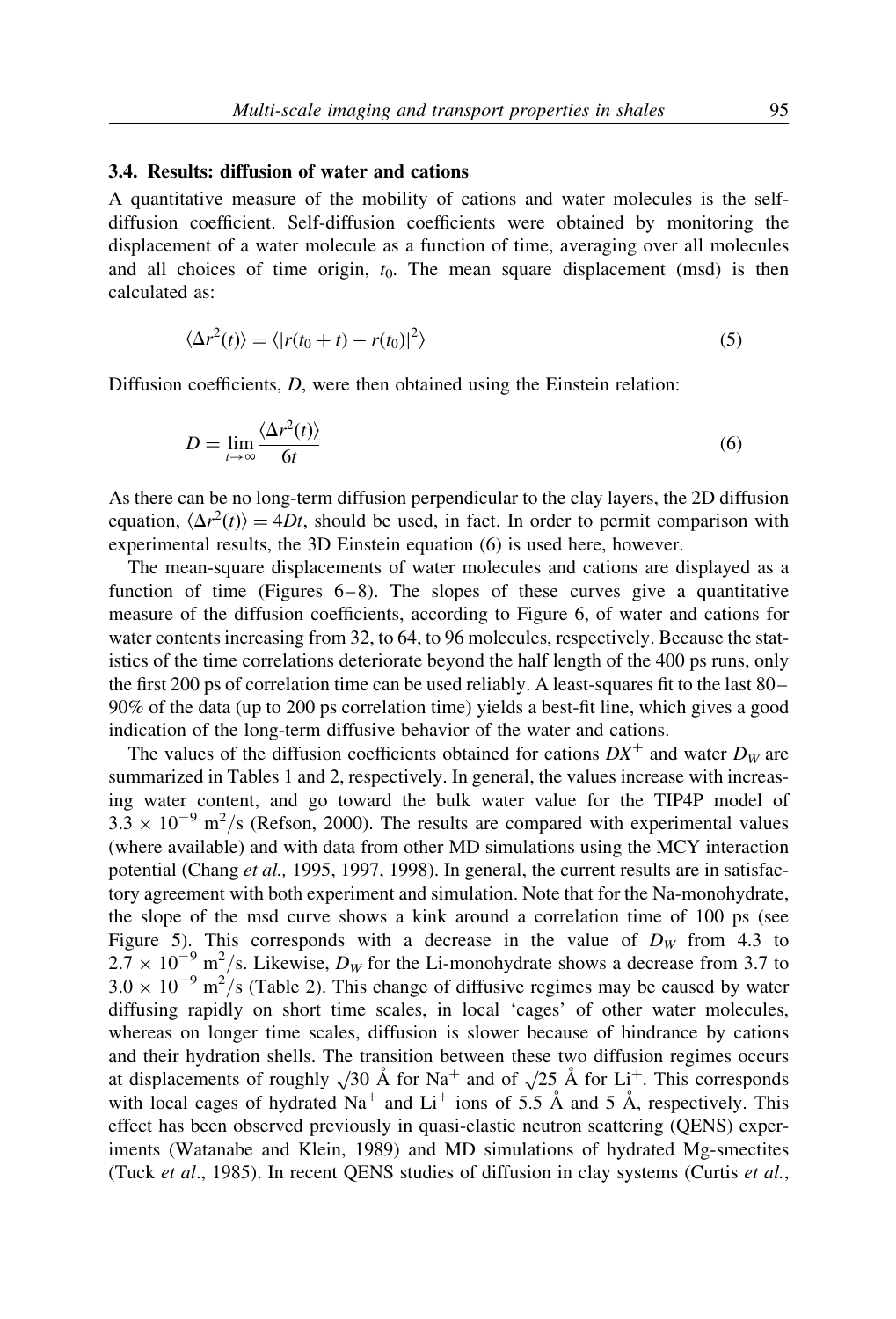## 3.4. Results: diffusion of water and cations

A quantitative measure of the mobility of cations and water molecules is the selfdiffusion coefficient. Self-diffusion coefficients were obtained by monitoring the displacement of a water molecule as a function of time, averaging over all molecules and all choices of time origin,  $t_0$ . The mean square displacement (msd) is then calculated as:

$$
\langle \Delta r^2(t) \rangle = \langle |r(t_0 + t) - r(t_0)|^2 \rangle \tag{5}
$$

Diffusion coefficients, D, were then obtained using the Einstein relation:

$$
D = \lim_{t \to \infty} \frac{\langle \Delta r^2(t) \rangle}{6t} \tag{6}
$$

As there can be no long-term diffusion perpendicular to the clay layers, the 2D diffusion equation,  $\langle \Delta r^2(t) \rangle = 4Dt$ , should be used, in fact. In order to permit comparison with experimental results, the 3D Einstein equation (6) is used here, however.

The mean-square displacements of water molecules and cations are displayed as a function of time (Figures  $6-8$ ). The slopes of these curves give a quantitative measure of the diffusion coefficients, according to Figure 6, of water and cations for water contents increasing from 32, to 64, to 96 molecules, respectively. Because the statistics of the time correlations deteriorate beyond the half length of the 400 ps runs, only the first 200 ps of correlation time can be used reliably. A least-squares fit to the last 80– 90% of the data (up to 200 ps correlation time) yields a best-fit line, which gives a good indication of the long-term diffusive behavior of the water and cations.

The values of the diffusion coefficients obtained for cations  $DX^+$  and water  $D_W$  are summarized in Tables 1 and 2, respectively. In general, the values increase with increasing water content, and go toward the bulk water value for the TIP4P model of  $3.3 \times 10^{-9}$  m<sup>2</sup>/s (Refson, 2000). The results are compared with experimental values (where available) and with data from other MD simulations using the MCY interaction potential (Chang et al., 1995, 1997, 1998). In general, the current results are in satisfactory agreement with both experiment and simulation. Note that for the Na-monohydrate, the slope of the msd curve shows a kink around a correlation time of 100 ps (see Figure 5). This corresponds with a decrease in the value of  $D<sub>W</sub>$  from 4.3 to  $2.7 \times 10^{-9}$  m<sup>2</sup>/s. Likewise,  $D_W$  for the Li-monohydrate shows a decrease from 3.7 to  $3.0 \times 10^{-9}$  m<sup>2</sup>/s (Table 2). This change of diffusive regimes may be caused by water diffusing rapidly on short time scales, in local 'cages' of other water molecules, whereas on longer time scales, diffusion is slower because of hindrance by cations and their hydration shells. The transition between these two diffusion regimes occurs at displacements of roughly  $\sqrt{30}$  Å for Na<sup>+</sup> and of  $\sqrt{25}$  Å for Li<sup>+</sup>. This corresponds with local cages of hydrated  $Na<sup>+</sup>$  and Li<sup>+</sup> ions of 5.5 Å and 5 Å, respectively. This effect has been observed previously in quasi-elastic neutron scattering (QENS) experiments (Watanabe and Klein, 1989) and MD simulations of hydrated Mg-smectites (Tuck et al., 1985). In recent QENS studies of diffusion in clay systems (Curtis et al.,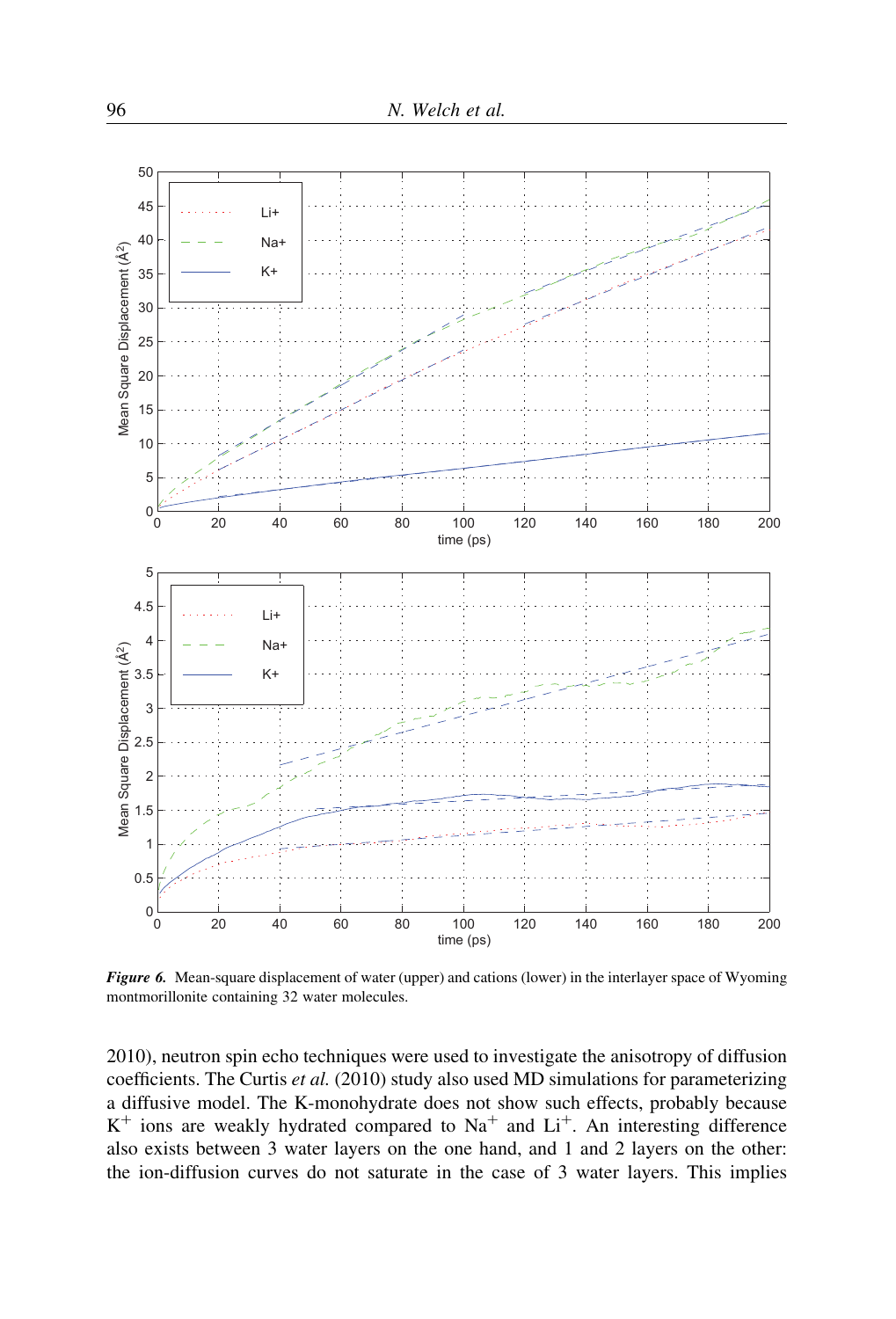

Figure 6. Mean-square displacement of water (upper) and cations (lower) in the interlayer space of Wyoming montmorillonite containing 32 water molecules.

2010), neutron spin echo techniques were used to investigate the anisotropy of diffusion coefficients. The Curtis et al. (2010) study also used MD simulations for parameterizing a diffusive model. The K-monohydrate does not show such effects, probably because  $K^+$  ions are weakly hydrated compared to Na<sup>+</sup> and Li<sup>+</sup>. An interesting difference also exists between 3 water layers on the one hand, and 1 and 2 layers on the other: the ion-diffusion curves do not saturate in the case of 3 water layers. This implies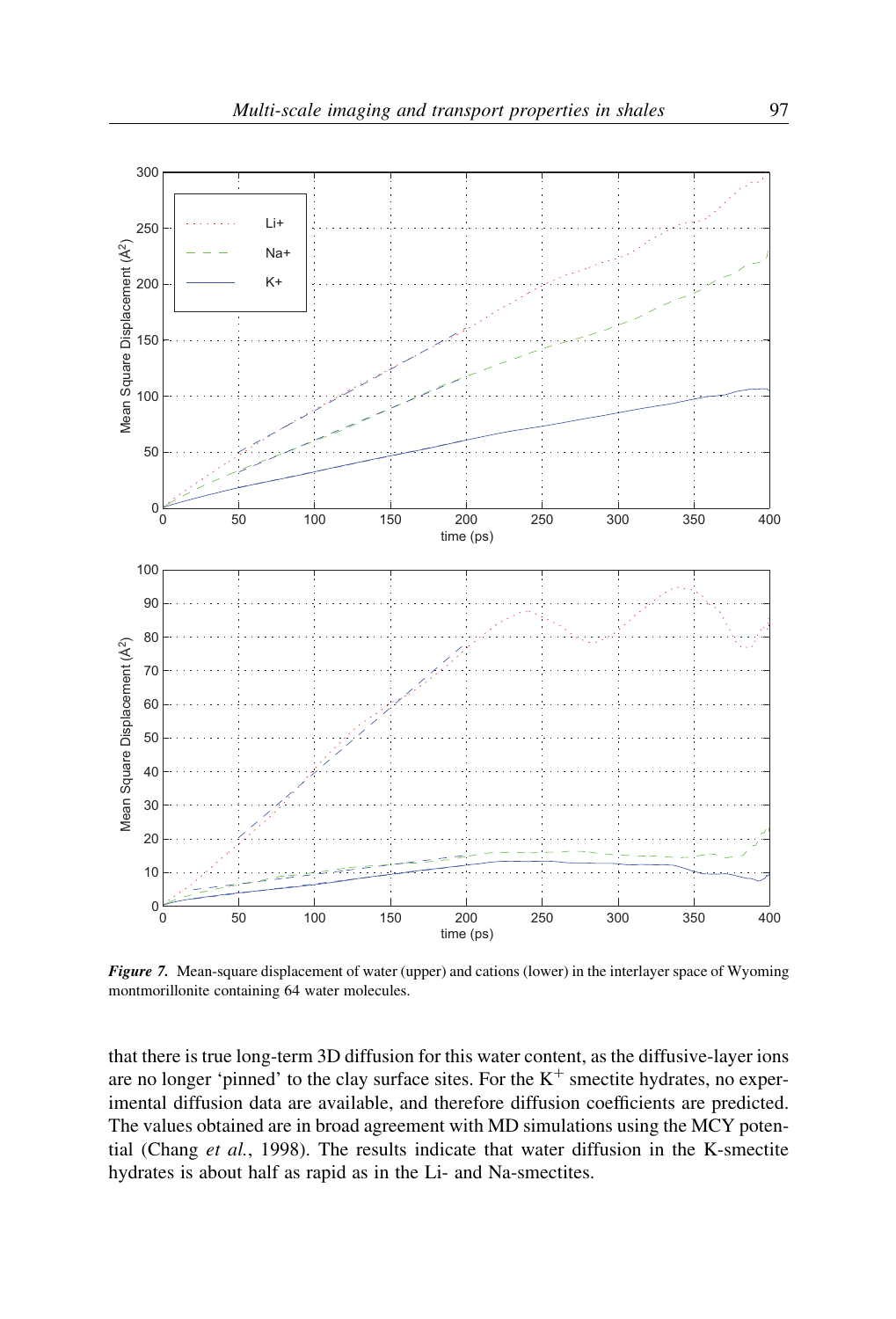

Figure 7. Mean-square displacement of water (upper) and cations (lower) in the interlayer space of Wyoming montmorillonite containing 64 water molecules.

that there is true long-term 3D diffusion for this water content, as the diffusive-layer ions are no longer 'pinned' to the clay surface sites. For the  $K^+$  smectite hydrates, no experimental diffusion data are available, and therefore diffusion coefficients are predicted. The values obtained are in broad agreement with MD simulations using the MCY potential (Chang et al., 1998). The results indicate that water diffusion in the K-smectite hydrates is about half as rapid as in the Li- and Na-smectites.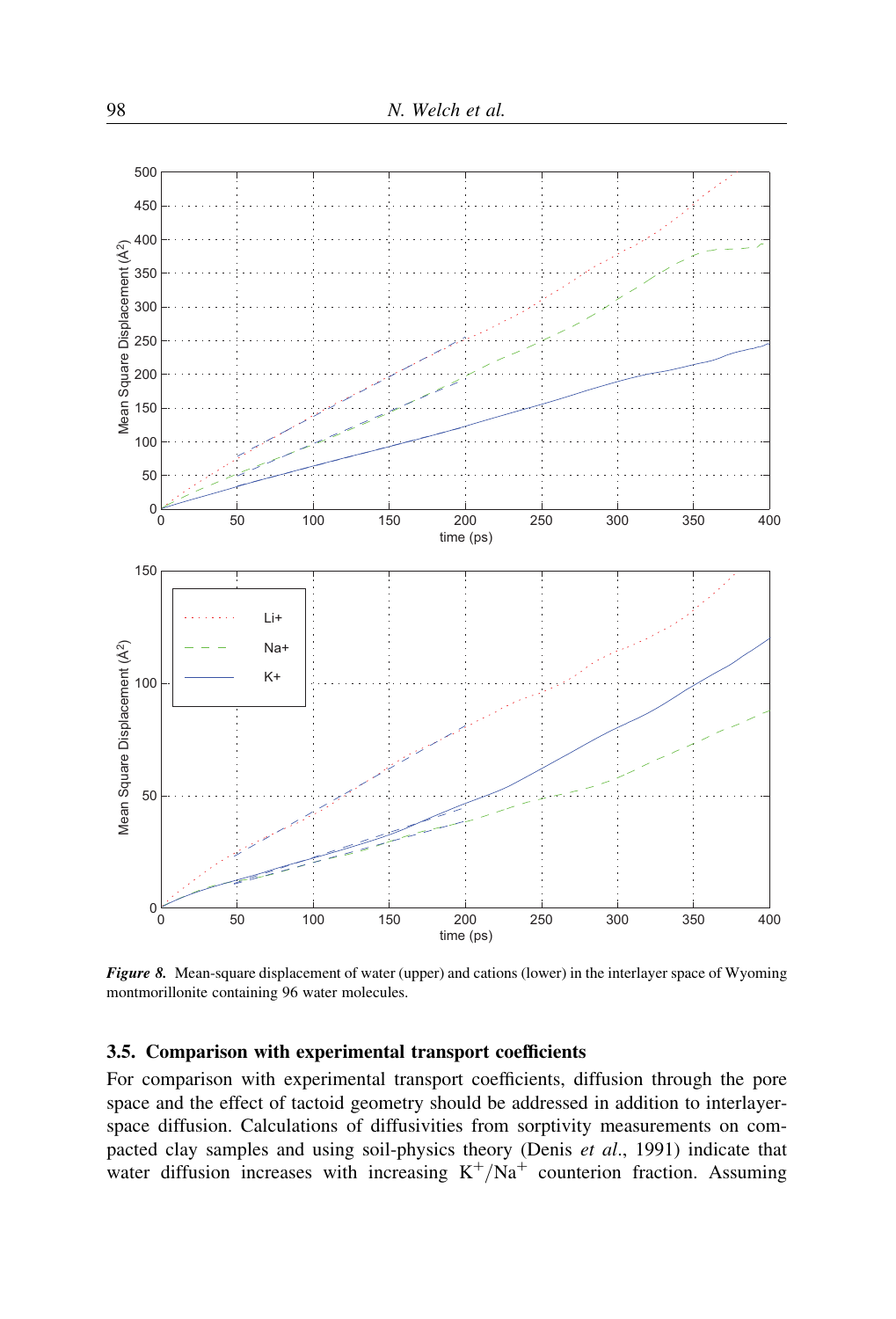

Figure 8. Mean-square displacement of water (upper) and cations (lower) in the interlayer space of Wyoming montmorillonite containing 96 water molecules.

# 3.5. Comparison with experimental transport coefficients

For comparison with experimental transport coefficients, diffusion through the pore space and the effect of tactoid geometry should be addressed in addition to interlayerspace diffusion. Calculations of diffusivities from sorptivity measurements on compacted clay samples and using soil-physics theory (Denis et al., 1991) indicate that water diffusion increases with increasing  $K^+/Na^+$  counterion fraction. Assuming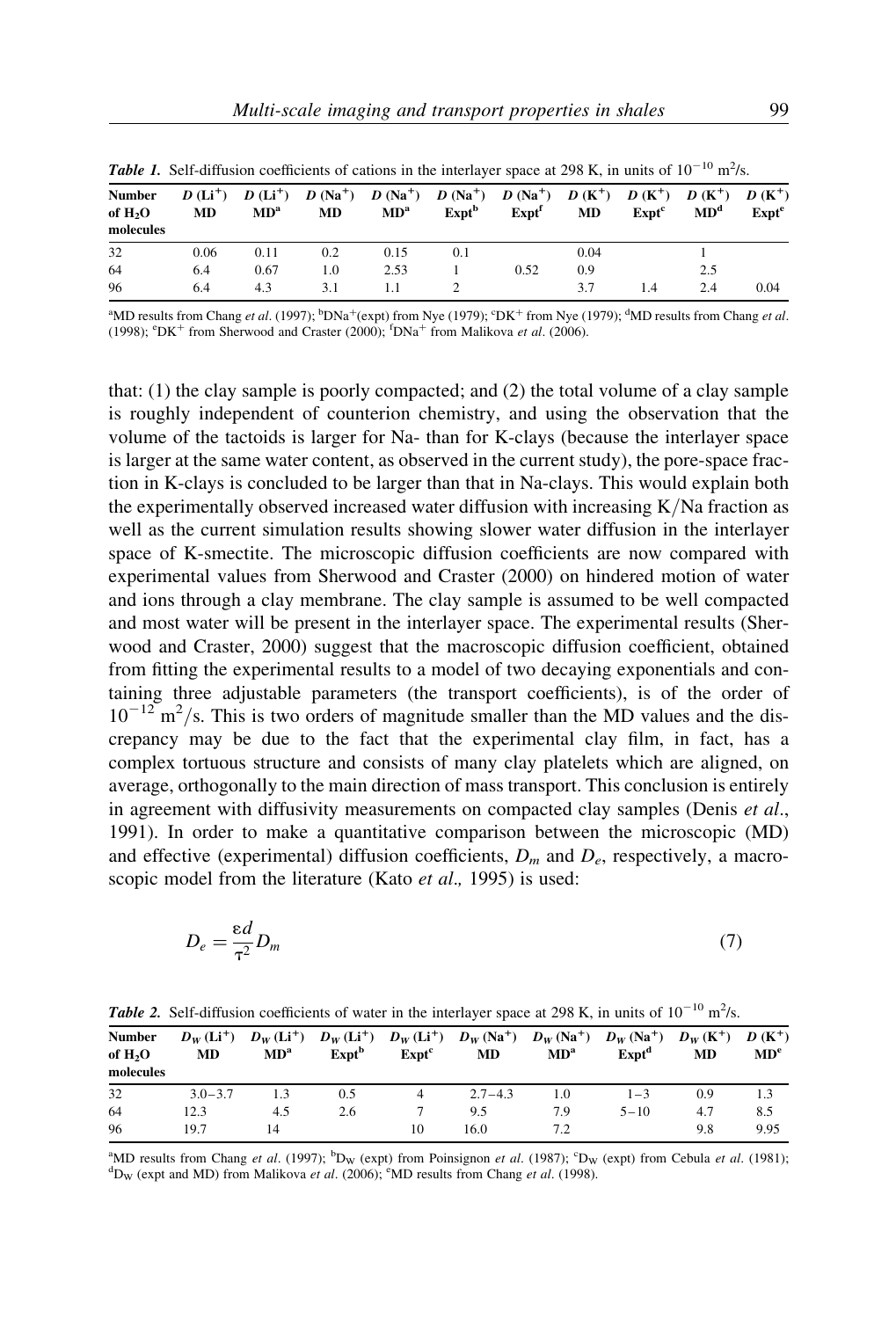| <b>Tubel 1.</b> Sen unrusion coemercins or canons in the interaction space at 270 <b>K</b> , in units of 10 cm 15. |      |                 |     |                 |                                                                                                                                        |                                   |      |                                        |                 |                   |
|--------------------------------------------------------------------------------------------------------------------|------|-----------------|-----|-----------------|----------------------------------------------------------------------------------------------------------------------------------------|-----------------------------------|------|----------------------------------------|-----------------|-------------------|
| <b>Number</b><br>of H <sub>2</sub> O<br>molecules                                                                  | MD   | MD <sup>a</sup> | MD  | MD <sup>a</sup> | $D(L^{+})$ $D(L^{+})$ $D(Na^{+})$ $D(Na^{+})$ $D(Na^{+})$ $D(Na^{+})$ $D(K^{+})$ $D(K^{+})$ $D(K^{+})$ $D(K^{+})$<br>Expt <sup>b</sup> | $\bm{\mathrm{Expt}}^{\mathrm{f}}$ | MD   | $\bm{\mathrm{Expt}}^{\bm{\mathrm{c}}}$ | MD <sup>d</sup> | Expt <sup>e</sup> |
| 32                                                                                                                 | 0.06 | 0.11            | 0.2 | 0.15            | 0.1                                                                                                                                    |                                   | 0.04 |                                        |                 |                   |
| 64                                                                                                                 | 6.4  | 0.67            | 1.0 | 2.53            |                                                                                                                                        | 0.52                              | 0.9  |                                        | 2.5             |                   |
| 96                                                                                                                 | 6.4  | 4.3             | 3.1 |                 |                                                                                                                                        |                                   | 3.7  | 1.4                                    | 2.4             | 0.04              |

**Table 1.** Self-diffusion coefficients of cations in the interlayer space at 298 K, in units of  $10^{-10}$  m<sup>2</sup>/s.

 $^4$ MD results from Chang *et al.* (1997);  $^b$ DNa<sup>+</sup>(expt) from Nye (1979);  $^c$ DK<sup>+</sup> from Nye (1979);  $^4$ MD results from Chang *et al.* (1998);  ${}^{\text{e}}\text{DK}^+$  from Sherwood and Craster (2000);  ${}^{\text{f}}\text{DNa}^+$  from Malikova et al. (2006).

that: (1) the clay sample is poorly compacted; and (2) the total volume of a clay sample is roughly independent of counterion chemistry, and using the observation that the volume of the tactoids is larger for Na- than for K-clays (because the interlayer space is larger at the same water content, as observed in the current study), the pore-space fraction in K-clays is concluded to be larger than that in Na-clays. This would explain both the experimentally observed increased water diffusion with increasing K/Na fraction as well as the current simulation results showing slower water diffusion in the interlayer space of K-smectite. The microscopic diffusion coefficients are now compared with experimental values from Sherwood and Craster (2000) on hindered motion of water and ions through a clay membrane. The clay sample is assumed to be well compacted and most water will be present in the interlayer space. The experimental results (Sherwood and Craster, 2000) suggest that the macroscopic diffusion coefficient, obtained from fitting the experimental results to a model of two decaying exponentials and containing three adjustable parameters (the transport coefficients), is of the order of  $10^{-12}$  m<sup>2</sup>/s. This is two orders of magnitude smaller than the MD values and the discrepancy may be due to the fact that the experimental clay film, in fact, has a complex tortuous structure and consists of many clay platelets which are aligned, on average, orthogonally to the main direction of mass transport. This conclusion is entirely in agreement with diffusivity measurements on compacted clay samples (Denis *et al.*, 1991). In order to make a quantitative comparison between the microscopic (MD) and effective (experimental) diffusion coefficients,  $D_m$  and  $D_e$ , respectively, a macroscopic model from the literature (Kato et al., 1995) is used:

$$
D_e = \frac{\varepsilon d}{\tau^2} D_m \tag{7}
$$

|  | <b>Table 2.</b> Self-diffusion coefficients of water in the interlayer space at 298 K, in units of $10^{-10}$ m <sup>2</sup> /s. |  |  |  |  |  |  |  |  |
|--|----------------------------------------------------------------------------------------------------------------------------------|--|--|--|--|--|--|--|--|
|--|----------------------------------------------------------------------------------------------------------------------------------|--|--|--|--|--|--|--|--|

| <b>Number</b><br>of $H2O$<br>molecules | MD          | MD <sup>a</sup> | $Expt^b$ | Expt <sup>c</sup> | $D_W(L^{+})$ $D_W(L^{+})$ $D_W(L^{+})$ $D_W(L^{+})$ $D_W(K^{+})$ $D_W(N^{+})$ $D_W(N^{+})$ $D_W(K^{+})$ $D_W(K^{+})$<br>MD | MD <sup>a</sup> | $Expt^d$ | <b>MD</b> | MD <sup>e</sup> |
|----------------------------------------|-------------|-----------------|----------|-------------------|----------------------------------------------------------------------------------------------------------------------------|-----------------|----------|-----------|-----------------|
| 32                                     | $3.0 - 3.7$ |                 | 0.5      |                   | $2.7 - 4.3$                                                                                                                | 1.0             | $1 - 3$  | 0.9       | 1.3             |
| 64                                     | 12.3        | 4.5             | 2.6      |                   | 9.5                                                                                                                        | 7.9             | $5 - 10$ | 4.7       | 8.5             |
| 96                                     | 19.7        | 14              |          | 10                | 16.0                                                                                                                       | 7.2             |          | 9.8       | 9.95            |

<sup>a</sup>MD results from Chang *et al.* (1997); <sup>b</sup>D<sub>W</sub> (expt) from Poinsignon *et al.* (1987); <sup>c</sup>D<sub>W</sub> (expt) from Cebula *et al.* (1981); <sup>d</sup>D, (expt) from Molikous *et al.* (2006); <sup>e</sup>MD results from Chang *et al.* (1999). D<sub>W</sub> (expt and MD) from Malikova et al. (2006); <sup>e</sup>MD results from Chang et al. (1998).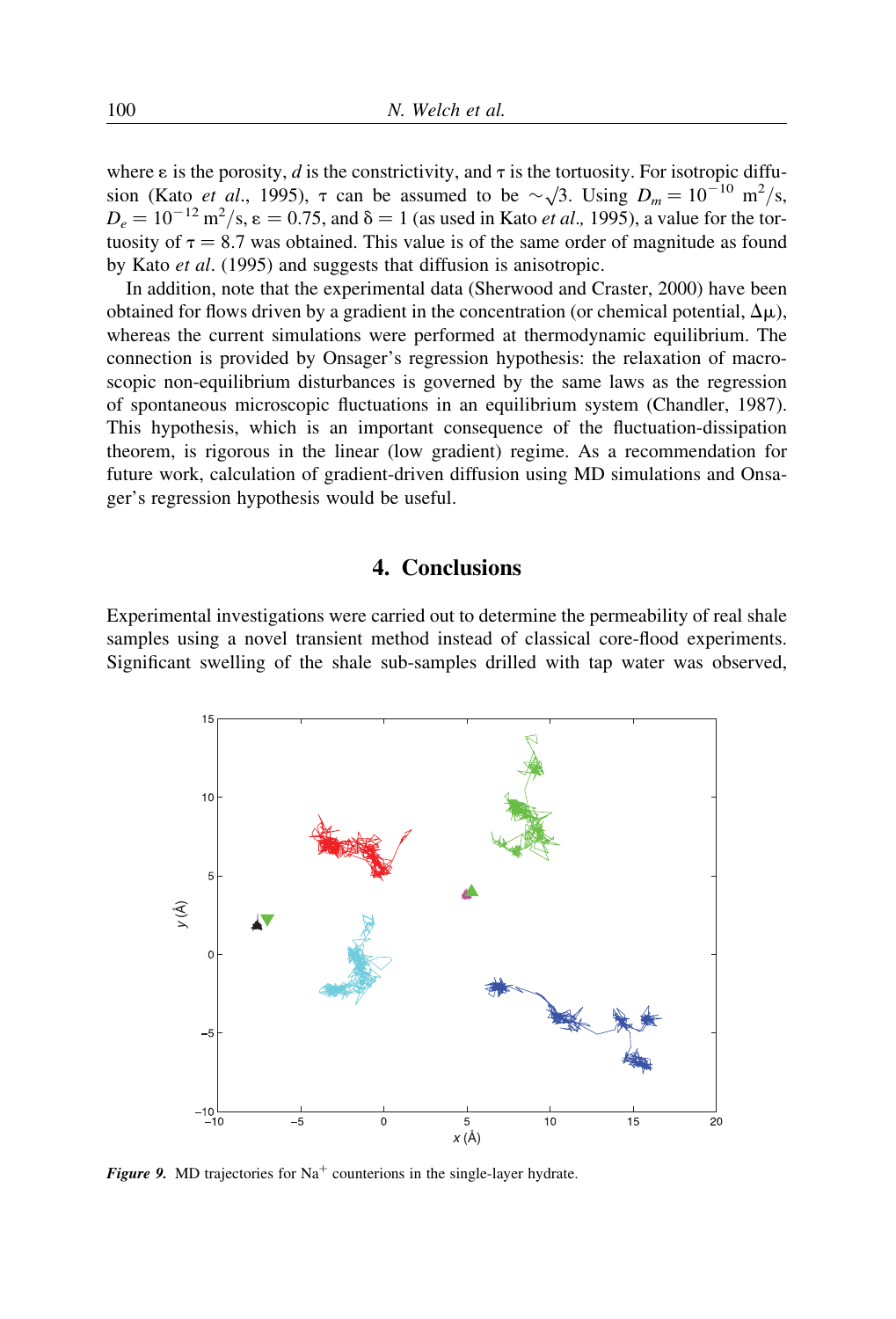where  $\varepsilon$  is the porosity, d is the constrictivity, and  $\tau$  is the tortuosity. For isotropic diffuwhere  $\varepsilon$  is the polosity, a is the constitutivity, and *A* is the tortuosity. For isotropic diffusion (Kato *et al.*, 1995),  $\tau$  can be assumed to be  $\sim \sqrt{3}$ . Using  $D_m = 10^{-10}$  m<sup>2</sup>/s,  $D_e = 10^{-12} \text{ m}^2/\text{s}, \epsilon = 0.75$ , and  $\delta = 1$  (as used in Kato *et al.*, 1995), a value for the tortuosity of  $\tau = 8.7$  was obtained. This value is of the same order of magnitude as found by Kato et al. (1995) and suggests that diffusion is anisotropic.

In addition, note that the experimental data (Sherwood and Craster, 2000) have been obtained for flows driven by a gradient in the concentration (or chemical potential,  $\Delta \mu$ ), whereas the current simulations were performed at thermodynamic equilibrium. The connection is provided by Onsager's regression hypothesis: the relaxation of macroscopic non-equilibrium disturbances is governed by the same laws as the regression of spontaneous microscopic fluctuations in an equilibrium system (Chandler, 1987). This hypothesis, which is an important consequence of the fluctuation-dissipation theorem, is rigorous in the linear (low gradient) regime. As a recommendation for future work, calculation of gradient-driven diffusion using MD simulations and Onsager's regression hypothesis would be useful.

# 4. Conclusions

Experimental investigations were carried out to determine the permeability of real shale samples using a novel transient method instead of classical core-flood experiments. Significant swelling of the shale sub-samples drilled with tap water was observed,



**Figure 9.** MD trajectories for  $Na<sup>+</sup>$  counterions in the single-layer hydrate.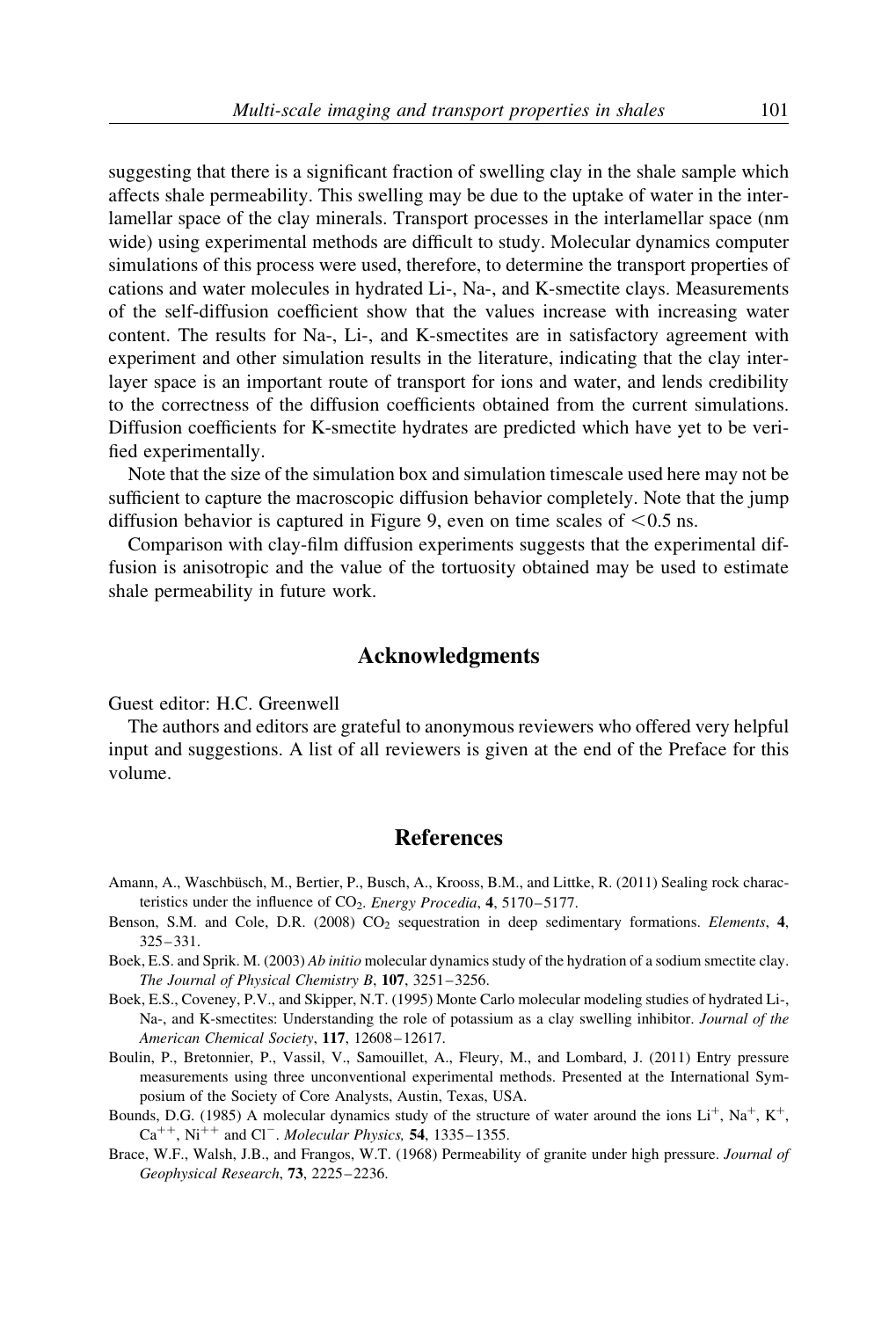suggesting that there is a significant fraction of swelling clay in the shale sample which affects shale permeability. This swelling may be due to the uptake of water in the interlamellar space of the clay minerals. Transport processes in the interlamellar space (nm wide) using experimental methods are difficult to study. Molecular dynamics computer simulations of this process were used, therefore, to determine the transport properties of cations and water molecules in hydrated Li-, Na-, and K-smectite clays. Measurements of the self-diffusion coefficient show that the values increase with increasing water content. The results for Na-, Li-, and K-smectites are in satisfactory agreement with experiment and other simulation results in the literature, indicating that the clay interlayer space is an important route of transport for ions and water, and lends credibility to the correctness of the diffusion coefficients obtained from the current simulations. Diffusion coefficients for K-smectite hydrates are predicted which have yet to be verified experimentally.

Note that the size of the simulation box and simulation timescale used here may not be sufficient to capture the macroscopic diffusion behavior completely. Note that the jump diffusion behavior is captured in Figure 9, even on time scales of  $\leq 0.5$  ns.

Comparison with clay-film diffusion experiments suggests that the experimental diffusion is anisotropic and the value of the tortuosity obtained may be used to estimate shale permeability in future work.

## Acknowledgments

Guest editor: H.C. Greenwell

The authors and editors are grateful to anonymous reviewers who offered very helpful input and suggestions. A list of all reviewers is given at the end of the Preface for this volume.

## **References**

- Amann, A., Waschbüsch, M., Bertier, P., Busch, A., Krooss, B.M., and Littke, R. (2011) Sealing rock characteristics under the influence of  $CO<sub>2</sub>$ . Energy Procedia, 4, 5170–5177.
- Benson, S.M. and Cole, D.R. (2008)  $CO<sub>2</sub>$  sequestration in deep sedimentary formations. Elements, 4, 325– 331.
- Boek, E.S. and Sprik. M. (2003) Ab initio molecular dynamics study of the hydration of a sodium smectite clay. The Journal of Physical Chemistry B, 107, 3251–3256.
- Boek, E.S., Coveney, P.V., and Skipper, N.T. (1995) Monte Carlo molecular modeling studies of hydrated Li-, Na-, and K-smectites: Understanding the role of potassium as a clay swelling inhibitor. *Journal of the* American Chemical Society, 117, 12608-12617.
- Boulin, P., Bretonnier, P., Vassil, V., Samouillet, A., Fleury, M., and Lombard, J. (2011) Entry pressure measurements using three unconventional experimental methods. Presented at the International Symposium of the Society of Core Analysts, Austin, Texas, USA.
- Bounds, D.G. (1985) A molecular dynamics study of the structure of water around the ions  $Li^+$ ,  $Na^+$ ,  $K^+$ ,  $Ca^{++}$ , Ni<sup>++</sup> and Cl<sup>-</sup>. Molecular Physics, 54, 1335–1355.
- Brace, W.F., Walsh, J.B., and Frangos, W.T. (1968) Permeability of granite under high pressure. Journal of Geophysical Research, 73, 2225–2236.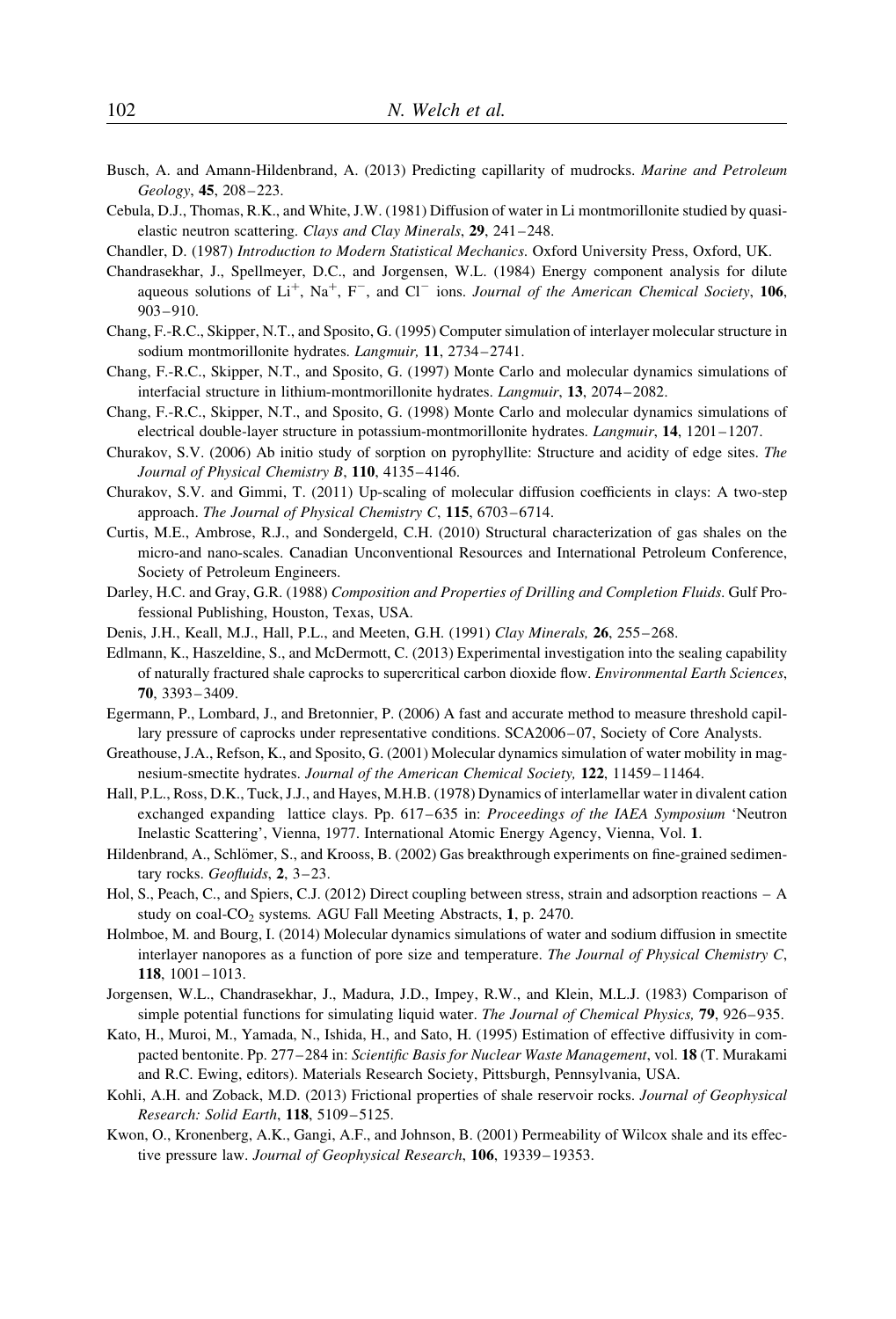- Busch, A. and Amann-Hildenbrand, A. (2013) Predicting capillarity of mudrocks. Marine and Petroleum Geology, 45, 208–223.
- Cebula, D.J., Thomas, R.K., and White, J.W. (1981) Diffusion of water in Li montmorillonite studied by quasielastic neutron scattering. Clays and Clay Minerals, 29, 241–248.
- Chandler, D. (1987) Introduction to Modern Statistical Mechanics. Oxford University Press, Oxford, UK.
- Chandrasekhar, J., Spellmeyer, D.C., and Jorgensen, W.L. (1984) Energy component analysis for dilute aqueous solutions of  $Li^+$ , Na<sup>+</sup>, F<sup>-</sup>, and Cl<sup>-</sup> ions. Journal of the American Chemical Society, 106, 903–910.
- Chang, F.-R.C., Skipper, N.T., and Sposito, G. (1995) Computer simulation of interlayer molecular structure in sodium montmorillonite hydrates. Langmuir, 11, 2734–2741.
- Chang, F.-R.C., Skipper, N.T., and Sposito, G. (1997) Monte Carlo and molecular dynamics simulations of interfacial structure in lithium-montmorillonite hydrates. Langmuir, 13, 2074–2082.
- Chang, F.-R.C., Skipper, N.T., and Sposito, G. (1998) Monte Carlo and molecular dynamics simulations of electrical double-layer structure in potassium-montmorillonite hydrates. Langmuir, 14, 1201–1207.
- Churakov, S.V. (2006) Ab initio study of sorption on pyrophyllite: Structure and acidity of edge sites. The Journal of Physical Chemistry B, 110, 4135-4146.
- Churakov, S.V. and Gimmi, T. (2011) Up-scaling of molecular diffusion coefficients in clays: A two-step approach. The Journal of Physical Chemistry C, 115, 6703-6714.
- Curtis, M.E., Ambrose, R.J., and Sondergeld, C.H. (2010) Structural characterization of gas shales on the micro-and nano-scales. Canadian Unconventional Resources and International Petroleum Conference, Society of Petroleum Engineers.
- Darley, H.C. and Gray, G.R. (1988) Composition and Properties of Drilling and Completion Fluids. Gulf Professional Publishing, Houston, Texas, USA.
- Denis, J.H., Keall, M.J., Hall, P.L., and Meeten, G.H. (1991) Clay Minerals, 26, 255–268.
- Edlmann, K., Haszeldine, S., and McDermott, C. (2013) Experimental investigation into the sealing capability of naturally fractured shale caprocks to supercritical carbon dioxide flow. Environmental Earth Sciences, 70, 3393– 3409.
- Egermann, P., Lombard, J., and Bretonnier, P. (2006) A fast and accurate method to measure threshold capillary pressure of caprocks under representative conditions. SCA2006–07, Society of Core Analysts.
- Greathouse, J.A., Refson, K., and Sposito, G. (2001) Molecular dynamics simulation of water mobility in magnesium-smectite hydrates. Journal of the American Chemical Society, 122, 11459–11464.
- Hall, P.L., Ross, D.K., Tuck, J.J., and Hayes, M.H.B. (1978) Dynamics of interlamellar water in divalent cation exchanged expanding lattice clays. Pp. 617–635 in: *Proceedings of the IAEA Symposium* 'Neutron' Inelastic Scattering', Vienna, 1977. International Atomic Energy Agency, Vienna, Vol. 1.
- Hildenbrand, A., Schlömer, S., and Krooss, B. (2002) Gas breakthrough experiments on fine-grained sedimentary rocks. Geofluids, 2, 3-23.
- Hol, S., Peach, C., and Spiers, C.J. (2012) Direct coupling between stress, strain and adsorption reactions A study on coal-CO<sub>2</sub> systems. AGU Fall Meeting Abstracts, 1, p. 2470.
- Holmboe, M. and Bourg, I. (2014) Molecular dynamics simulations of water and sodium diffusion in smectite interlayer nanopores as a function of pore size and temperature. The Journal of Physical Chemistry C, 118, 1001–1013.
- Jorgensen, W.L., Chandrasekhar, J., Madura, J.D., Impey, R.W., and Klein, M.L.J. (1983) Comparison of simple potential functions for simulating liquid water. The Journal of Chemical Physics, 79, 926–935.
- Kato, H., Muroi, M., Yamada, N., Ishida, H., and Sato, H. (1995) Estimation of effective diffusivity in compacted bentonite. Pp. 277–284 in: Scientific Basis for Nuclear Waste Management, vol. 18 (T. Murakami and R.C. Ewing, editors). Materials Research Society, Pittsburgh, Pennsylvania, USA.
- Kohli, A.H. and Zoback, M.D. (2013) Frictional properties of shale reservoir rocks. Journal of Geophysical Research: Solid Earth, 118, 5109-5125.
- Kwon, O., Kronenberg, A.K., Gangi, A.F., and Johnson, B. (2001) Permeability of Wilcox shale and its effective pressure law. Journal of Geophysical Research, 106, 19339–19353.